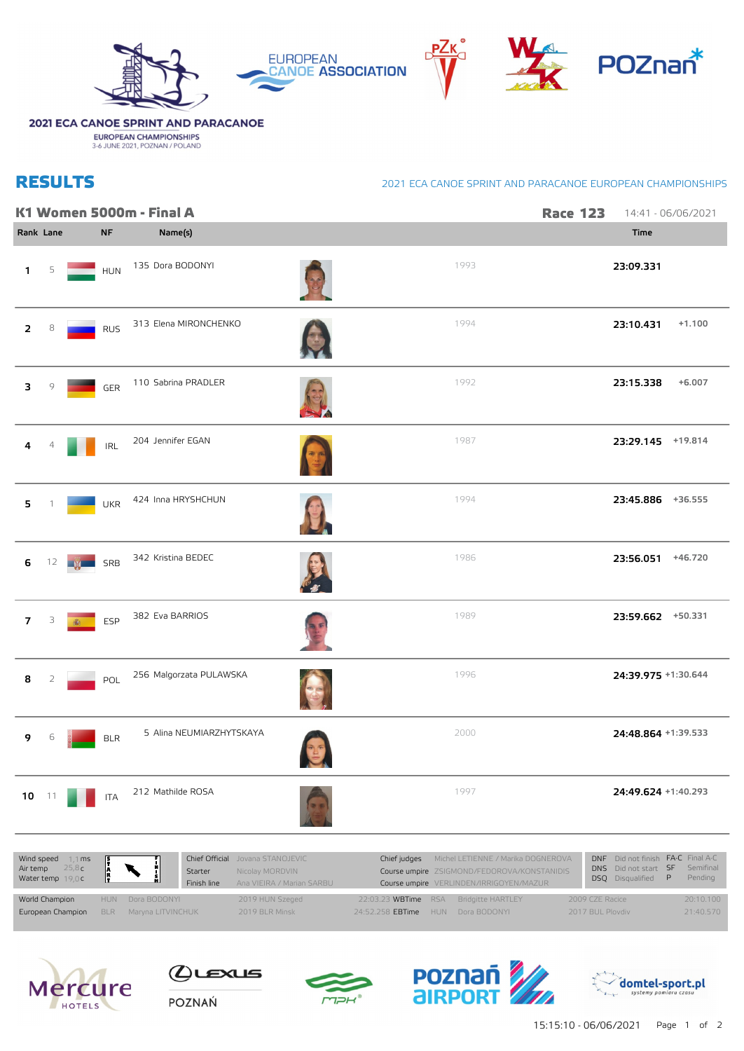

## 2021 ECA CANOE SPRINT AND PARACANOE

**EUROPEAN CHAMPIONSHIPS**<br>3-6 JUNE 2021, POZNAN / POLAND

## **RESULTS**

## 2021 ECA CANOE SPRINT AND PARACANOE EUROPEAN CHAMPIONSHIPS

|                |    |                                          |            | K1 Women 5000m - Final A                                       |             |                                                                                                   | <b>Race 123</b>                                                     | 14:41 - 06/06/2021  |
|----------------|----|------------------------------------------|------------|----------------------------------------------------------------|-------------|---------------------------------------------------------------------------------------------------|---------------------------------------------------------------------|---------------------|
| Rank Lane      |    |                                          | <b>NF</b>  | Name(s)                                                        |             |                                                                                                   | Time                                                                |                     |
| 1              | 5  |                                          | <b>HUN</b> | 135 Dora BODONYI                                               |             | 1993                                                                                              | 23:09.331                                                           |                     |
| 2              | 8  |                                          | <b>RUS</b> | 313 Elena MIRONCHENKO                                          |             | 1994                                                                                              | 23:10.431                                                           | $+1.100$            |
| з              | 9  |                                          | GER        | 110 Sabrina PRADLER                                            |             | 1992                                                                                              | 23:15.338                                                           | $+6.007$            |
| 4              |    |                                          | <b>IRL</b> | 204 Jennifer EGAN                                              |             | 1987                                                                                              |                                                                     | 23:29.145 +19.814   |
| 5              |    |                                          | <b>UKR</b> | 424 Inna HRYSHCHUN                                             |             | 1994                                                                                              |                                                                     | 23:45.886 +36.555   |
| 6              | 12 |                                          | SRB        | 342 Kristina BEDEC                                             |             | 1986                                                                                              |                                                                     | 23:56.051 +46.720   |
| $\overline{7}$ | 3  | 癫                                        | <b>ESP</b> | 382 Eva BARRIOS                                                |             | 1989                                                                                              |                                                                     | 23:59.662 +50.331   |
| 8              | 2  |                                          | POL        | 256 Malgorzata PULAWSKA                                        |             | 1996                                                                                              |                                                                     | 24:39.975 +1:30.644 |
| 9              | 6  |                                          | <b>BLR</b> | 5 Alina NEUMIARZHYTSKAYA                                       | <b>ALLA</b> | 2000                                                                                              |                                                                     | 24:48.864 +1:39.533 |
| $10 - 11$      |    |                                          | <b>ITA</b> | 212 Mathilde ROSA                                              |             | 1997                                                                                              |                                                                     | 24:49.624 +1:40.293 |
|                |    | Wind speed $-1,1$ ms<br>Air temp $25,8c$ |            | Chief Official Jovana STANOJEVIC<br>Nicolay MORDVIN<br>Starter |             | Michel LETIENNE / Marika DOGNEROVA<br>Chief judges<br>Course umnire 7SIGMOND/FEDOROVA/KONSTANIDIS | DNF Did not finish FA-C Final A-C<br>DNS Did not start SF Semifinal |                     |

| Air temp $25.8c$ <b>A</b><br>Water temp 19,0 <b>C</b>     |                  | Starter<br>Finish line | Nicolay MORDVIN<br>Ana VIEIRA / Marian SARBU |                                                                                   | Child loades and the communication of the state of the state of the state of the state of the state of the state of the state of the state of the state of the state of the state of the state of the state of the state of th<br>Course umpire ZSIGMOND/FEDOROVA/KONSTANIDIS<br>Course umpire VERLINDEN/IRRIGOYEN/MAZUR |                                     | DNS Did not start SF Semifinal<br><b>DSO</b> Disqualified <b>P</b> | Pending                |
|-----------------------------------------------------------|------------------|------------------------|----------------------------------------------|-----------------------------------------------------------------------------------|--------------------------------------------------------------------------------------------------------------------------------------------------------------------------------------------------------------------------------------------------------------------------------------------------------------------------|-------------------------------------|--------------------------------------------------------------------|------------------------|
| World Champion<br>European Champion BLR Maryna LITVINCHUK | HUN Dora BODONYI |                        | 2019 HUN Szeged<br>2019 BLR Minsk            | 22:03.23 WBTime RSA Bridgitte HARTLEY<br>24:52.258 <b>EBTime</b> HUN Dora BODONYI |                                                                                                                                                                                                                                                                                                                          | 2009 CZE Racice<br>2017 BUL Ploydiv |                                                                    | 20:10.100<br>21:40.570 |